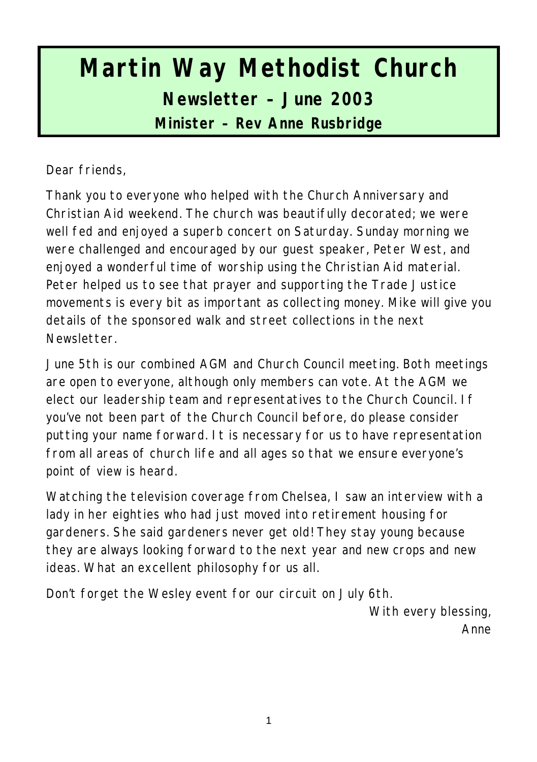# **Martin Way Methodist Church Newsletter – June 2003 Minister – Rev Anne Rusbridge**

Dear friends,

Thank you to everyone who helped with the Church Anniversary and Christian Aid weekend. The church was beautifully decorated; we were well fed and enjoyed a superb concert on Saturday. Sunday morning we were challenged and encouraged by our guest speaker, Peter West, and enjoyed a wonderful time of worship using the Christian Aid material. Peter helped us to see that prayer and supporting the Trade Justice movements is every bit as important as collecting money. Mike will give you details of the sponsored walk and street collections in the next Newsletter.

June 5th is our combined AGM and Church Council meeting. Both meetings are open to everyone, although only members can vote. At the AGM we elect our leadership team and representatives to the Church Council. If you've not been part of the Church Council before, do please consider putting your name forward. It is necessary for us to have representation from all areas of church life and all ages so that we ensure everyone's point of view is heard.

Watching the television coverage from Chelsea, I saw an interview with a lady in her eighties who had just moved into retirement housing for gardeners. She said gardeners never get old! They stay young because they are always looking forward to the next year and new crops and new ideas. What an excellent philosophy for us all.

Don't forget the Wesley event for our circuit on July 6th.

With every blessing, Anne

1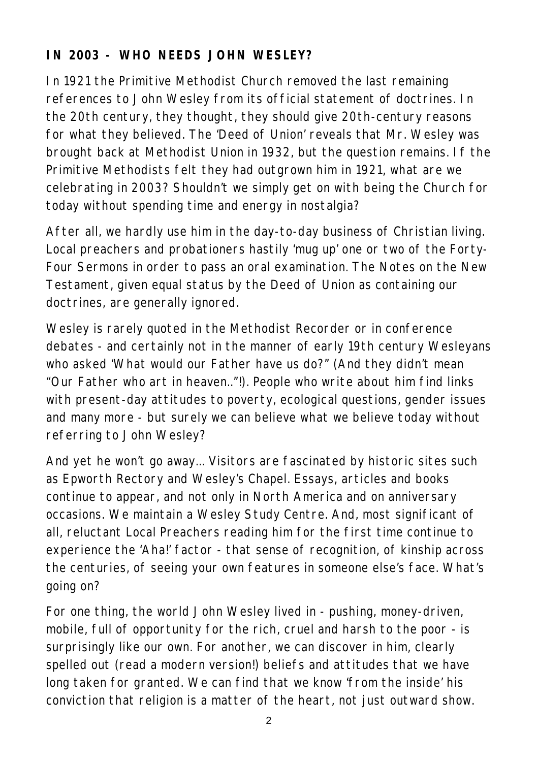## **IN 2003 - WHO NEEDS JOHN WESLEY?**

In 1921 the Primitive Methodist Church removed the last remaining references to John Wesley from its official statement of doctrines. In the 20th century, they thought, they should give 20th-century reasons for what they believed. The 'Deed of Union' reveals that Mr. Wesley was brought back at Methodist Union in 1932, but the question remains. If the Primitive Methodists felt they had outgrown him in 1921, what are we celebrating in 2003? Shouldn't we simply get on with being the Church for today without spending time and energy in nostalgia?

After all, we hardly use him in the day-to-day business of Christian living. Local preachers and probationers hastily 'mug up' one or two of the Forty-Four Sermons in order to pass an oral examination. The Notes on the New Testament, given equal status by the Deed of Union as containing our doctrines, are generally ignored.

Wesley is rarely quoted in the Methodist Recorder or in conference debates - and certainly not in the manner of early 19th century Wesleyans who asked 'What would our Father have us do?" (And they didn't mean "Our Father who art in heaven.."!). People who write about him find links with present-day attitudes to poverty, ecological questions, gender issues and many more - but surely we can believe what we believe today without referring to John Wesley?

And yet he won't go away... Visitors are fascinated by historic sites such as Epworth Rectory and Wesley's Chapel. Essays, articles and books continue to appear, and not only in North America and on anniversary occasions. We maintain a Wesley Study Centre. And, most significant of all, reluctant Local Preachers reading him for the first time continue to experience the 'Aha!' factor - that sense of recognition, of kinship across the centuries, of seeing your own features in someone else's face. What's going on?

For one thing, the world John Wesley lived in - pushing, money-driven, mobile, full of opportunity for the rich, cruel and harsh to the poor - is surprisingly like our own. For another, we can discover in him, clearly spelled out (read a modern version!) beliefs and attitudes that we have long taken for granted. We can find that we know 'from the inside' his conviction that religion is a matter of the heart, not just outward show.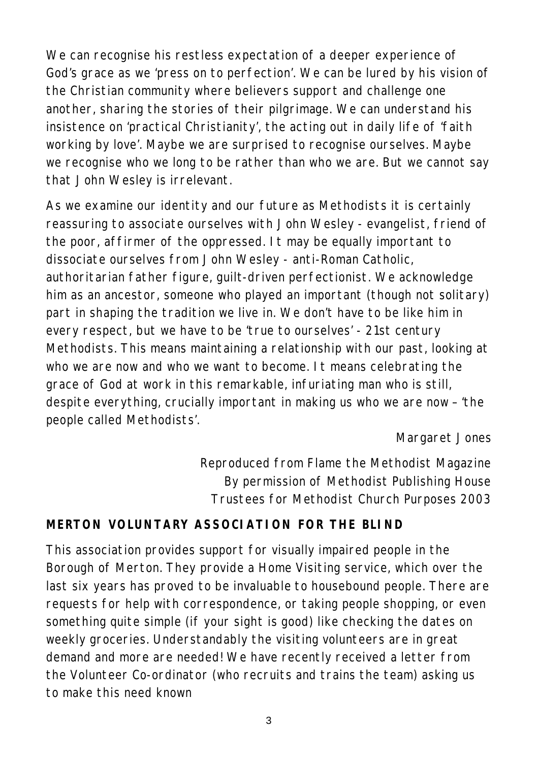We can recognise his restless expectation of a deeper experience of God's grace as we 'press on to perfection'. We can be lured by his vision of the Christian community where believers support and challenge one another, sharing the stories of their pilgrimage. We can understand his insistence on 'practical Christianity', the acting out in daily life of 'faith working by love'. Maybe we are surprised to recognise ourselves. Maybe we recognise who we long to be rather than who we are. But we cannot say that John Wesley is irrelevant.

As we examine our identity and our future as Methodists it is certainly reassuring to associate ourselves with John Wesley - evangelist, friend of the poor, affirmer of the oppressed. It may be equally important to dissociate ourselves from John Wesley - anti-Roman Catholic, authoritarian father figure, guilt-driven perfectionist. We acknowledge him as an ancestor, someone who played an important (though not solitary) part in shaping the tradition we live in. We don't have to be like him in every respect, but we have to be 'true to ourselves' - 21st century Methodists. This means maintaining a relationship with our past, looking at who we are now and who we want to become. It means celebrating the grace of God at work in this remarkable, infuriating man who is still, despite everything, crucially important in making us who we are now – 'the people called Methodists'.

#### *Margaret Jones*

*Reproduced from Flame the Methodist Magazine By permission of Methodist Publishing House Trustees for Methodist Church Purposes 2003*

### **MERTON VOLUNTARY ASSOCIATION FOR THE BLIND**

This association provides support for visually impaired people in the Borough of Merton. They provide a Home Visiting service, which over the last six years has proved to be invaluable to housebound people. There are requests for help with correspondence, or taking people shopping, or even something quite simple (if your sight is good) like checking the dates on weekly groceries. Understandably the visiting volunteers are in great demand and more are needed! We have recently received a letter from the Volunteer Co-ordinator (who recruits and trains the team) asking us to make this need known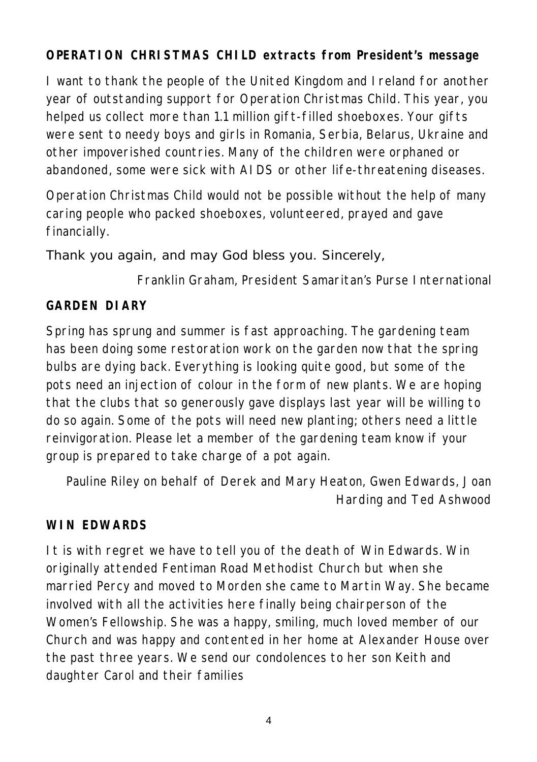## **OPERATION CHRISTMAS CHILD extracts from President's message**

I want to thank the people of the United Kingdom and Ireland for another year of outstanding support for Operation Christmas Child. This year, you helped us collect more than 1.1 million gift-filled shoeboxes. Your gifts were sent to needy boys and girls in Romania, Serbia, Belarus, Ukraine and other impoverished countries. Many of the children were orphaned or abandoned, some were sick with AIDS or other life-threatening diseases.

Operation Christmas Child would not be possible without the help of many caring people who packed shoeboxes, volunteered, prayed and gave financially.

### Thank you again, and may God bless you. Sincerely,

*Franklin Graham, President Samaritan's Purse International*

#### **GARDEN DIARY**

Spring has sprung and summer is fast approaching. The gardening team has been doing some restoration work on the garden now that the spring bulbs are dying back. Everything is looking quite good, but some of the pots need an injection of colour in the form of new plants. We are hoping that the clubs that so generously gave displays last year will be willing to do so again. Some of the pots will need new planting; others need a little reinvigoration. Please let a member of the gardening team know if your group is prepared to take charge of a pot again.

*Pauline Riley on behalf of Derek and Mary Heaton, Gwen Edwards, Joan Harding and Ted Ashwood*

### **WIN EDWARDS**

It is with regret we have to tell you of the death of Win Edwards. Win originally attended Fentiman Road Methodist Church but when she married Percy and moved to Morden she came to Martin Way. She became involved with all the activities here finally being chairperson of the Women's Fellowship. She was a happy, smiling, much loved member of our Church and was happy and contented in her home at Alexander House over the past three years. We send our condolences to her son Keith and daughter Carol and their families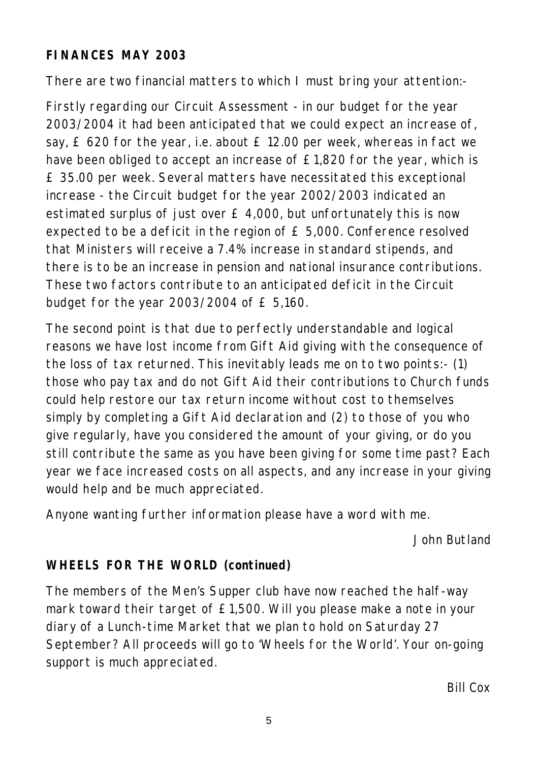#### **FINANCES MAY 2003**

There are two financial matters to which I must bring your attention:-

Firstly regarding our Circuit Assessment - in our budget for the year 2003/2004 it had been anticipated that we could expect an increase of, say, £ 620 for the year, i.e. about £ 12.00 per week, whereas in fact we have been obliged to accept an increase of £1,820 for the year, which is £ 35.00 per week. Several matters have necessitated this exceptional increase - the Circuit budget for the year 2002/2003 indicated an estimated surplus of just over £ 4,000, but unfortunately this is now expected to be a deficit in the region of £ 5,000. Conference resolved that Ministers will receive a 7.4% increase in standard stipends, and there is to be an increase in pension and national insurance contributions. These two factors contribute to an anticipated deficit in the Circuit budget for the year 2003/2004 of £ 5,160.

The second point is that due to perfectly understandable and logical reasons we have lost income from Gift Aid giving with the consequence of the loss of tax returned. This inevitably leads me on to two points:- (1) those who pay tax and do not Gift Aid their contributions to Church funds could help restore our tax return income without cost to themselves simply by completing a Gift Aid declaration and (2) to those of you who give regularly, have you considered the amount of your giving, or do you still contribute the same as you have been giving for some time past? Each year we face increased costs on all aspects, and any increase in your giving would help and be much appreciated.

Anyone wanting further information please have a word with me.

*John Butland*

## **WHEELS FOR THE WORLD (continued)**

The members of the Men's Supper club have now reached the half-way mark toward their target of £1,500. Will you please make a note in your diary of a Lunch-time Market that we plan to hold on Saturday 27 September? All proceeds will go to 'Wheels for the World'. Your on-going support is much appreciated.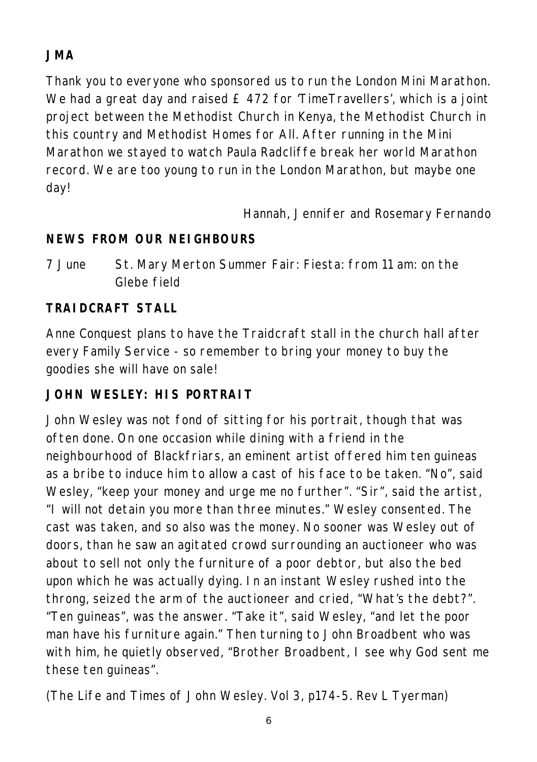# **JMA**

Thank you to everyone who sponsored us to run the London Mini Marathon. We had a great day and raised £ 472 for 'TimeTravellers', which is a joint project between the Methodist Church in Kenya, the Methodist Church in this country and Methodist Homes for All. After running in the Mini Marathon we stayed to watch Paula Radcliffe break her world Marathon record. We are too young to run in the London Marathon, but maybe one day!

*Hannah, Jennifer and Rosemary Fernando*

# **NEWS FROM OUR NEIGHBOURS**

7 June St. Mary Merton Summer Fair: Fiesta: from 11 am: on the Glebe field

# **TRAIDCRAFT STALL**

Anne Conquest plans to have the Traidcraft stall in the church hall after every Family Service - so remember to bring your money to buy the goodies she will have on sale!

# **JOHN WESLEY: HIS PORTRAIT**

John Wesley was not fond of sitting for his portrait, though that was often done. On one occasion while dining with a friend in the neighbourhood of Blackfriars, an eminent artist offered him ten guineas as a bribe to induce him to allow a cast of his face to be taken. "No", said Wesley, "keep your money and urge me no further". "Sir", said the artist, "I will not detain you more than three minutes." Wesley consented. The cast was taken, and so also was the money. No sooner was Wesley out of doors, than he saw an agitated crowd surrounding an auctioneer who was about to sell not only the furniture of a poor debtor, but also the bed upon which he was actually dying. In an instant Wesley rushed into the throng, seized the arm of the auctioneer and cried, "What's the debt?". "Ten guineas", was the answer. "Take it", said Wesley, "and let the poor man have his furniture again." Then turning to John Broadbent who was with him, he quietly observed, "Brother Broadbent, I see why God sent me these ten guineas".

(The Life and Times of John Wesley. Vol 3, p174-5. Rev L Tyerman)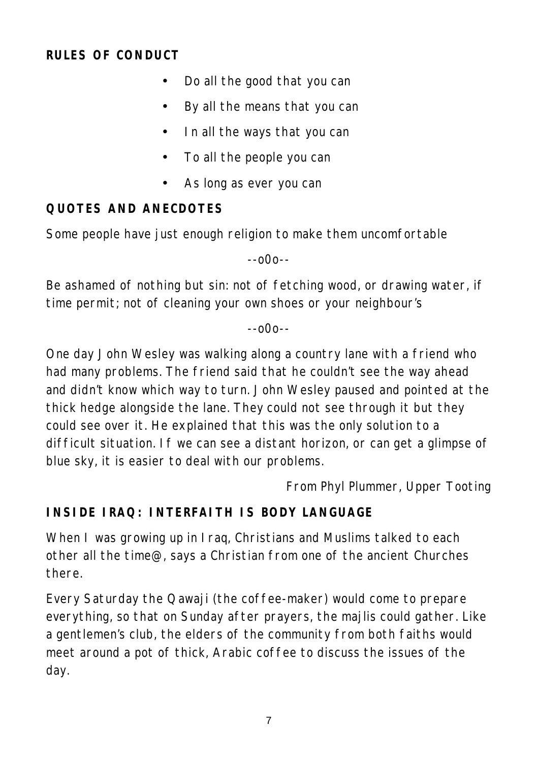#### **RULES OF CONDUCT**

- Do all the good that you can
- By all the means that you can
- In all the ways that you can
- To all the people you can
- As long as ever you can

#### **QUOTES AND ANECDOTES**

Some people have just enough religion to make them uncomfortable

--o0o--

Be ashamed of nothing but sin: not of fetching wood, or drawing water, if time permit; not of cleaning your own shoes or your neighbour's

--o0o--

One day John Wesley was walking along a country lane with a friend who had many problems. The friend said that he couldn't see the way ahead and didn't know which way to turn. John Wesley paused and pointed at the thick hedge alongside the lane. They could not see through it but they could see over it. He explained that this was the only solution to a difficult situation. If we can see a distant horizon, or can get a glimpse of blue sky, it is easier to deal with our problems.

*From Phyl Plummer, Upper Tooting*

### **INSIDE IRAQ: INTERFAITH IS BODY LANGUAGE**

When I was growing up in Iraq, Christians and Muslims talked to each other all the time@, says a Christian from one of the ancient Churches there.

Every Saturday the Qawaji (the coffee-maker) would come to prepare everything, so that on Sunday after prayers, the majlis could gather. Like a gentlemen's club, the elders of the community from both faiths would meet around a pot of thick, Arabic coffee to discuss the issues of the day.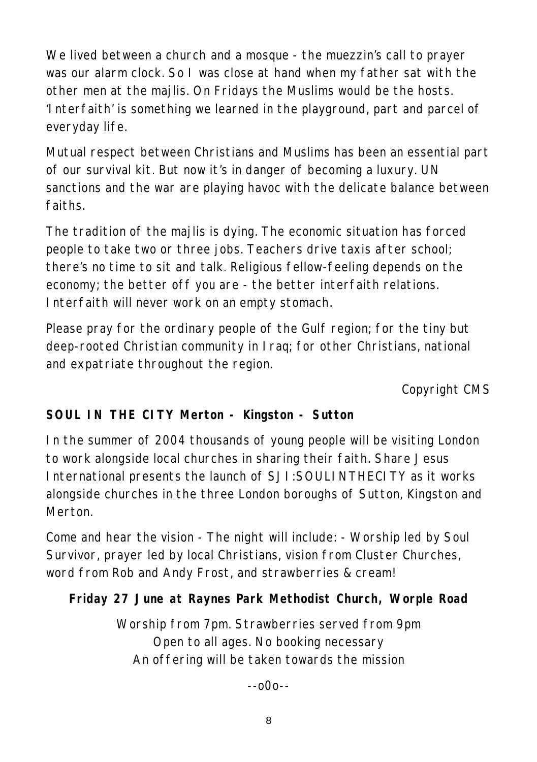We lived between a church and a mosque - the muezzin's call to prayer was our alarm clock. So I was close at hand when my father sat with the other men at the majlis. On Fridays the Muslims would be the hosts. 'Interfaith' is something we learned in the playground, part and parcel of everyday life.

Mutual respect between Christians and Muslims has been an essential part of our survival kit. But now it's in danger of becoming a luxury. UN sanctions and the war are playing havoc with the delicate balance between faiths.

The tradition of the majlis is dying. The economic situation has forced people to take two or three jobs. Teachers drive taxis after school; there's no time to sit and talk. Religious fellow-feeling depends on the economy; the better off you are - the better interfaith relations. Interfaith will never work on an empty stomach.

Please pray for the ordinary people of the Gulf region; for the tiny but deep-rooted Christian community in Iraq; for other Christians, national and expatriate throughout the region.

*Copyright CMS*

## **SOUL IN THE CITY Merton - Kingston - Sutton**

In the summer of 2004 thousands of young people will be visiting London to work alongside local churches in sharing their faith. Share Jesus International presents the launch of SJI:SOULINTHECITY as it works alongside churches in the three London boroughs of Sutton, Kingston and Merton.

Come and hear the vision - The night will include: - Worship led by Soul Survivor, prayer led by local Christians, vision from Cluster Churches, word from Rob and Andy Frost, and strawberries & cream!

## **Friday 27 June at Raynes Park Methodist Church, Worple Road**

Worship from 7pm. Strawberries served from 9pm Open to all ages. No booking necessary An offering will be taken towards the mission

--o0o--